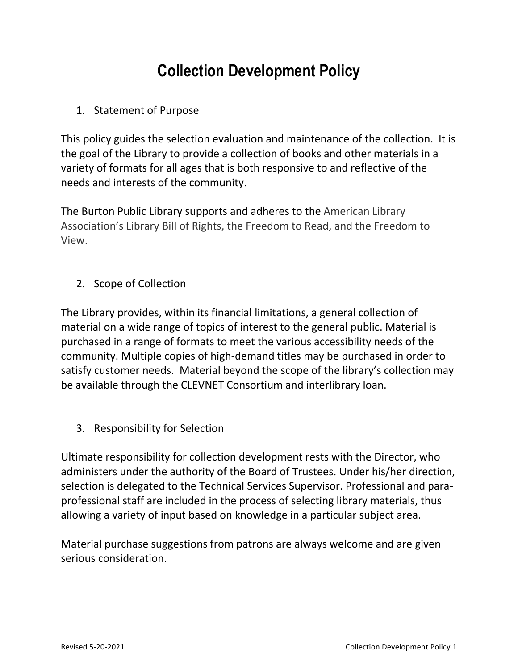# **Collection Development Policy**

1. Statement of Purpose

This policy guides the selection evaluation and maintenance of the collection. It is the goal of the Library to provide a collection of books and other materials in a variety of formats for all ages that is both responsive to and reflective of the needs and interests of the community.

The Burton Public Library supports and adheres to the American Library Association's Library Bill of Rights, the Freedom to Read, and the Freedom to View.

2. Scope of Collection

The Library provides, within its financial limitations, a general collection of material on a wide range of topics of interest to the general public. Material is purchased in a range of formats to meet the various accessibility needs of the community. Multiple copies of high-demand titles may be purchased in order to satisfy customer needs. Material beyond the scope of the library's collection may be available through the CLEVNET Consortium and interlibrary loan.

3. Responsibility for Selection

Ultimate responsibility for collection development rests with the Director, who administers under the authority of the Board of Trustees. Under his/her direction, selection is delegated to the Technical Services Supervisor. Professional and paraprofessional staff are included in the process of selecting library materials, thus allowing a variety of input based on knowledge in a particular subject area.

Material purchase suggestions from patrons are always welcome and are given serious consideration.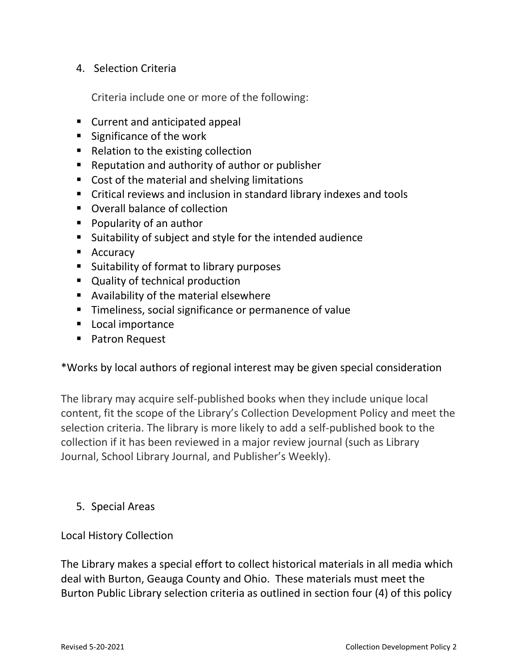### 4. Selection Criteria

Criteria include one or more of the following:

- **Current and anticipated appeal**
- **Significance of the work**
- Relation to the existing collection
- **Reputation and authority of author or publisher**
- Cost of the material and shelving limitations
- Critical reviews and inclusion in standard library indexes and tools
- **•** Overall balance of collection
- **Popularity of an author**
- Suitability of subject and style for the intended audience
- **Accuracy**
- **Suitability of format to library purposes**
- **Quality of technical production**
- Availability of the material elsewhere
- **Timeliness, social significance or permanence of value**
- **Local importance**
- **Patron Request**

\*Works by local authors of regional interest may be given special consideration

The library may acquire self-published books when they include unique local content, fit the scope of the Library's Collection Development Policy and meet the selection criteria. The library is more likely to add a self-published book to the collection if it has been reviewed in a major review journal (such as Library Journal, School Library Journal, and Publisher's Weekly).

5. Special Areas

Local History Collection

The Library makes a special effort to collect historical materials in all media which deal with Burton, Geauga County and Ohio. These materials must meet the Burton Public Library selection criteria as outlined in section four (4) of this policy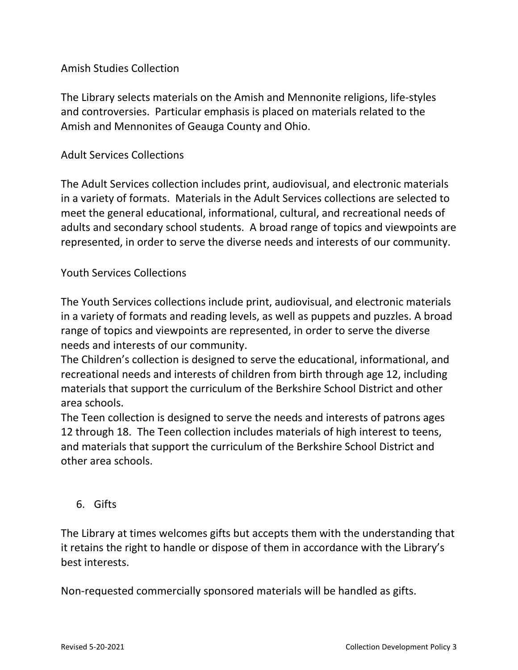### Amish Studies Collection

The Library selects materials on the Amish and Mennonite religions, life-styles and controversies. Particular emphasis is placed on materials related to the Amish and Mennonites of Geauga County and Ohio.

#### Adult Services Collections

The Adult Services collection includes print, audiovisual, and electronic materials in a variety of formats. Materials in the Adult Services collections are selected to meet the general educational, informational, cultural, and recreational needs of adults and secondary school students. A broad range of topics and viewpoints are represented, in order to serve the diverse needs and interests of our community.

### Youth Services Collections

The Youth Services collections include print, audiovisual, and electronic materials in a variety of formats and reading levels, as well as puppets and puzzles. A broad range of topics and viewpoints are represented, in order to serve the diverse needs and interests of our community.

The Children's collection is designed to serve the educational, informational, and recreational needs and interests of children from birth through age 12, including materials that support the curriculum of the Berkshire School District and other area schools.

The Teen collection is designed to serve the needs and interests of patrons ages 12 through 18. The Teen collection includes materials of high interest to teens, and materials that support the curriculum of the Berkshire School District and other area schools.

#### 6. Gifts

The Library at times welcomes gifts but accepts them with the understanding that it retains the right to handle or dispose of them in accordance with the Library's best interests.

Non-requested commercially sponsored materials will be handled as gifts.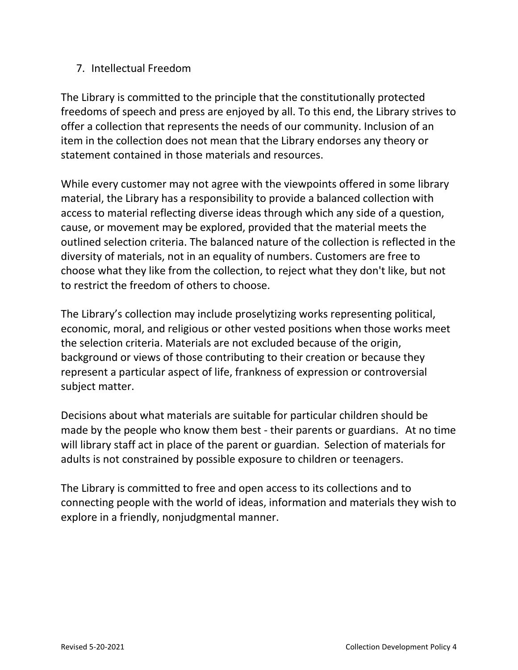### 7. Intellectual Freedom

The Library is committed to the principle that the constitutionally protected freedoms of speech and press are enjoyed by all. To this end, the Library strives to offer a collection that represents the needs of our community. Inclusion of an item in the collection does not mean that the Library endorses any theory or statement contained in those materials and resources.

While every customer may not agree with the viewpoints offered in some library material, the Library has a responsibility to provide a balanced collection with access to material reflecting diverse ideas through which any side of a question, cause, or movement may be explored, provided that the material meets the outlined selection criteria. The balanced nature of the collection is reflected in the diversity of materials, not in an equality of numbers. Customers are free to choose what they like from the collection, to reject what they don't like, but not to restrict the freedom of others to choose.

The Library's collection may include proselytizing works representing political, economic, moral, and religious or other vested positions when those works meet the selection criteria. Materials are not excluded because of the origin, background or views of those contributing to their creation or because they represent a particular aspect of life, frankness of expression or controversial subject matter.

Decisions about what materials are suitable for particular children should be made by the people who know them best - their parents or guardians. At no time will library staff act in place of the parent or guardian. Selection of materials for adults is not constrained by possible exposure to children or teenagers.

The Library is committed to free and open access to its collections and to connecting people with the world of ideas, information and materials they wish to explore in a friendly, nonjudgmental manner.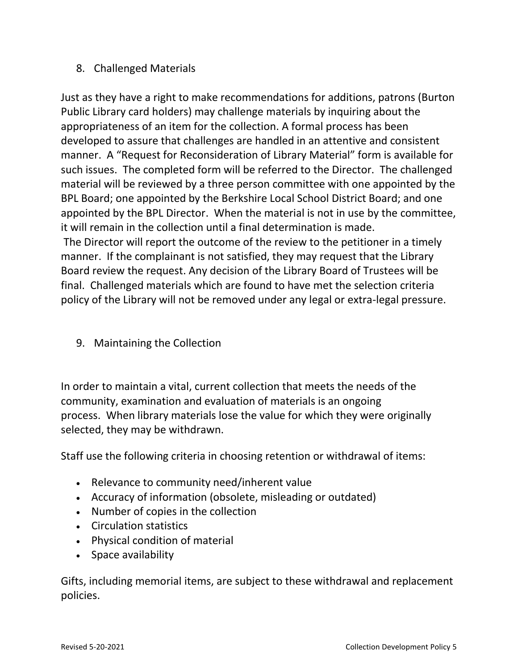## 8. Challenged Materials

Just as they have a right to make recommendations for additions, patrons (Burton Public Library card holders) may challenge materials by inquiring about the appropriateness of an item for the collection. A formal process has been developed to assure that challenges are handled in an attentive and consistent manner. A "Request for Reconsideration of Library Material" form is available for such issues. The completed form will be referred to the Director. The challenged material will be reviewed by a three person committee with one appointed by the BPL Board; one appointed by the Berkshire Local School District Board; and one appointed by the BPL Director. When the material is not in use by the committee, it will remain in the collection until a final determination is made. The Director will report the outcome of the review to the petitioner in a timely manner. If the complainant is not satisfied, they may request that the Library Board review the request. Any decision of the Library Board of Trustees will be

final. Challenged materials which are found to have met the selection criteria policy of the Library will not be removed under any legal or extra-legal pressure.

9. Maintaining the Collection

In order to maintain a vital, current collection that meets the needs of the community, examination and evaluation of materials is an ongoing process. When library materials lose the value for which they were originally selected, they may be withdrawn.

Staff use the following criteria in choosing retention or withdrawal of items:

- Relevance to community need/inherent value
- Accuracy of information (obsolete, misleading or outdated)
- Number of copies in the collection
- Circulation statistics
- Physical condition of material
- Space availability

Gifts, including memorial items, are subject to these withdrawal and replacement policies.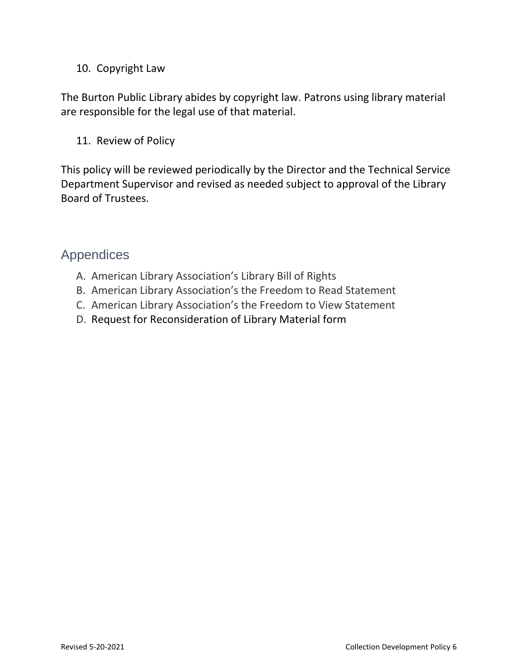### 10. Copyright Law

The Burton Public Library abides by copyright law. Patrons using library material are responsible for the legal use of that material.

11. Review of Policy

This policy will be reviewed periodically by the Director and the Technical Service Department Supervisor and revised as needed subject to approval of the Library Board of Trustees.

# Appendices

- A. American Library Association's Library Bill of Rights
- B. American Library Association's the Freedom to Read Statement
- C. American Library Association's the Freedom to View Statement
- D. Request for Reconsideration of Library Material form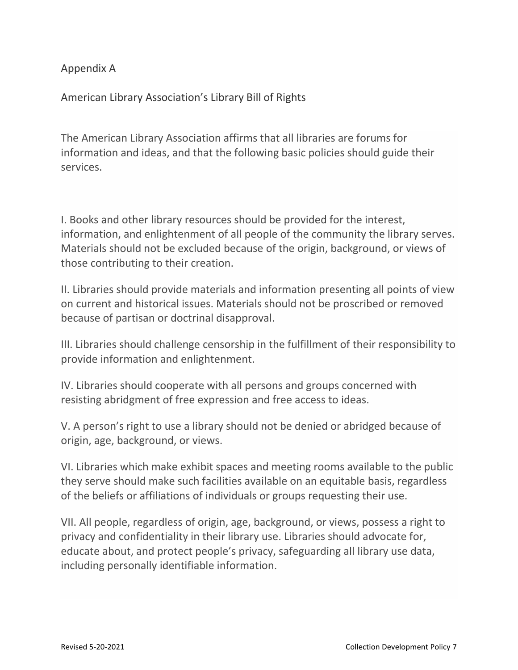### Appendix A

American Library Association's Library Bill of Rights

The American Library Association affirms that all libraries are forums for information and ideas, and that the following basic policies should guide their services.

I. Books and other library resources should be provided for the interest, information, and enlightenment of all people of the community the library serves. Materials should not be excluded because of the origin, background, or views of those contributing to their creation.

II. Libraries should provide materials and information presenting all points of view on current and historical issues. Materials should not be proscribed or removed because of partisan or doctrinal disapproval.

III. Libraries should challenge censorship in the fulfillment of their responsibility to provide information and enlightenment.

IV. Libraries should cooperate with all persons and groups concerned with resisting abridgment of free expression and free access to ideas.

V. A person's right to use a library should not be denied or abridged because of origin, age, background, or views.

VI. Libraries which make exhibit spaces and meeting rooms available to the public they serve should make such facilities available on an equitable basis, regardless of the beliefs or affiliations of individuals or groups requesting their use.

VII. All people, regardless of origin, age, background, or views, possess a right to privacy and confidentiality in their library use. Libraries should advocate for, educate about, and protect people's privacy, safeguarding all library use data, including personally identifiable information.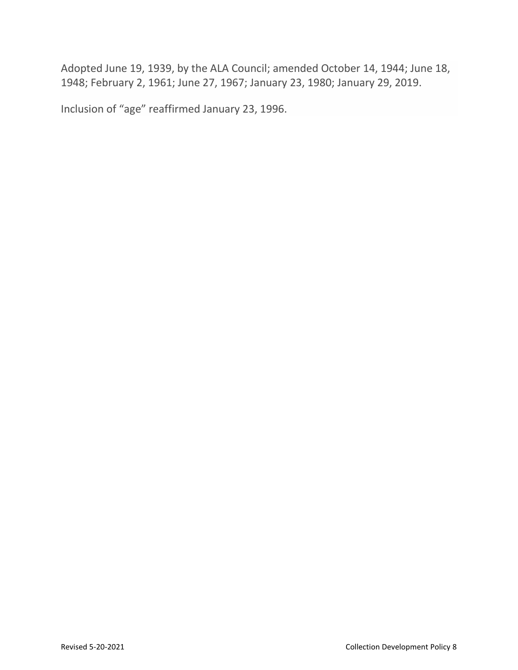Adopted June 19, 1939, by the ALA Council; amended October 14, 1944; June 18, 1948; February 2, 1961; June 27, 1967; January 23, 1980; January 29, 2019.

Inclusion of "age" reaffirmed January 23, 1996.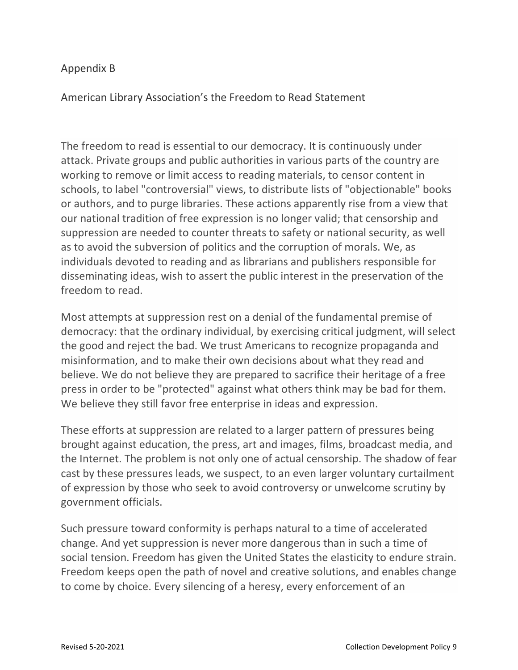### Appendix B

American Library Association's the Freedom to Read Statement

The freedom to read is essential to our democracy. It is continuously under attack. Private groups and public authorities in various parts of the country are working to remove or limit access to reading materials, to censor content in schools, to label "controversial" views, to distribute lists of "objectionable" books or authors, and to purge libraries. These actions apparently rise from a view that our national tradition of free expression is no longer valid; that censorship and suppression are needed to counter threats to safety or national security, as well as to avoid the subversion of politics and the corruption of morals. We, as individuals devoted to reading and as librarians and publishers responsible for disseminating ideas, wish to assert the public interest in the preservation of the freedom to read.

Most attempts at suppression rest on a denial of the fundamental premise of democracy: that the ordinary individual, by exercising critical judgment, will select the good and reject the bad. We trust Americans to recognize propaganda and misinformation, and to make their own decisions about what they read and believe. We do not believe they are prepared to sacrifice their heritage of a free press in order to be "protected" against what others think may be bad for them. We believe they still favor free enterprise in ideas and expression.

These efforts at suppression are related to a larger pattern of pressures being brought against education, the press, art and images, films, broadcast media, and the Internet. The problem is not only one of actual censorship. The shadow of fear cast by these pressures leads, we suspect, to an even larger voluntary curtailment of expression by those who seek to avoid controversy or unwelcome scrutiny by government officials.

Such pressure toward conformity is perhaps natural to a time of accelerated change. And yet suppression is never more dangerous than in such a time of social tension. Freedom has given the United States the elasticity to endure strain. Freedom keeps open the path of novel and creative solutions, and enables change to come by choice. Every silencing of a heresy, every enforcement of an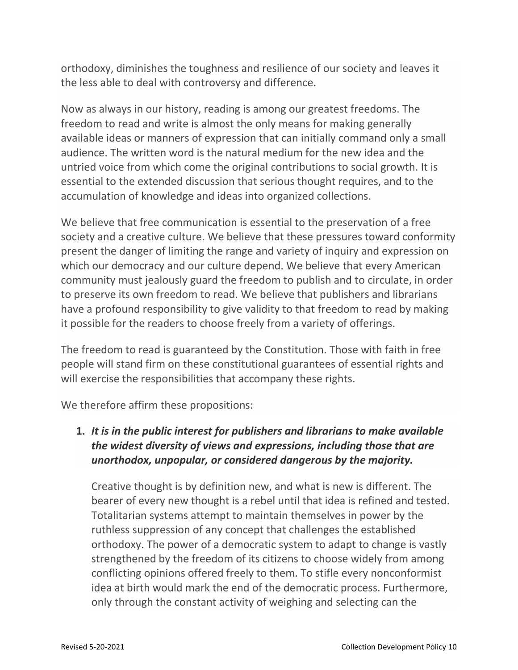orthodoxy, diminishes the toughness and resilience of our society and leaves it the less able to deal with controversy and difference.

Now as always in our history, reading is among our greatest freedoms. The freedom to read and write is almost the only means for making generally available ideas or manners of expression that can initially command only a small audience. The written word is the natural medium for the new idea and the untried voice from which come the original contributions to social growth. It is essential to the extended discussion that serious thought requires, and to the accumulation of knowledge and ideas into organized collections.

We believe that free communication is essential to the preservation of a free society and a creative culture. We believe that these pressures toward conformity present the danger of limiting the range and variety of inquiry and expression on which our democracy and our culture depend. We believe that every American community must jealously guard the freedom to publish and to circulate, in order to preserve its own freedom to read. We believe that publishers and librarians have a profound responsibility to give validity to that freedom to read by making it possible for the readers to choose freely from a variety of offerings.

The freedom to read is guaranteed by the Constitution. Those with faith in free people will stand firm on these constitutional guarantees of essential rights and will exercise the responsibilities that accompany these rights.

We therefore affirm these propositions:

**1.** *It is in the public interest for publishers and librarians to make available the widest diversity of views and expressions, including those that are unorthodox, unpopular, or considered dangerous by the majority.*

Creative thought is by definition new, and what is new is different. The bearer of every new thought is a rebel until that idea is refined and tested. Totalitarian systems attempt to maintain themselves in power by the ruthless suppression of any concept that challenges the established orthodoxy. The power of a democratic system to adapt to change is vastly strengthened by the freedom of its citizens to choose widely from among conflicting opinions offered freely to them. To stifle every nonconformist idea at birth would mark the end of the democratic process. Furthermore, only through the constant activity of weighing and selecting can the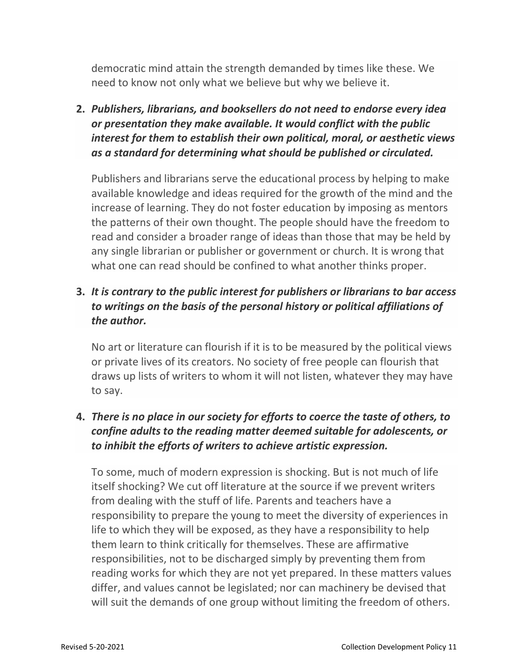democratic mind attain the strength demanded by times like these. We need to know not only what we believe but why we believe it.

**2.** *Publishers, librarians, and booksellers do not need to endorse every idea or presentation they make available. It would conflict with the public interest for them to establish their own political, moral, or aesthetic views as a standard for determining what should be published or circulated.*

Publishers and librarians serve the educational process by helping to make available knowledge and ideas required for the growth of the mind and the increase of learning. They do not foster education by imposing as mentors the patterns of their own thought. The people should have the freedom to read and consider a broader range of ideas than those that may be held by any single librarian or publisher or government or church. It is wrong that what one can read should be confined to what another thinks proper.

# **3.** *It is contrary to the public interest for publishers or librarians to bar access to writings on the basis of the personal history or political affiliations of the author.*

No art or literature can flourish if it is to be measured by the political views or private lives of its creators. No society of free people can flourish that draws up lists of writers to whom it will not listen, whatever they may have to say.

## **4.** *There is no place in our society for efforts to coerce the taste of others, to confine adults to the reading matter deemed suitable for adolescents, or to inhibit the efforts of writers to achieve artistic expression.*

To some, much of modern expression is shocking. But is not much of life itself shocking? We cut off literature at the source if we prevent writers from dealing with the stuff of life. Parents and teachers have a responsibility to prepare the young to meet the diversity of experiences in life to which they will be exposed, as they have a responsibility to help them learn to think critically for themselves. These are affirmative responsibilities, not to be discharged simply by preventing them from reading works for which they are not yet prepared. In these matters values differ, and values cannot be legislated; nor can machinery be devised that will suit the demands of one group without limiting the freedom of others.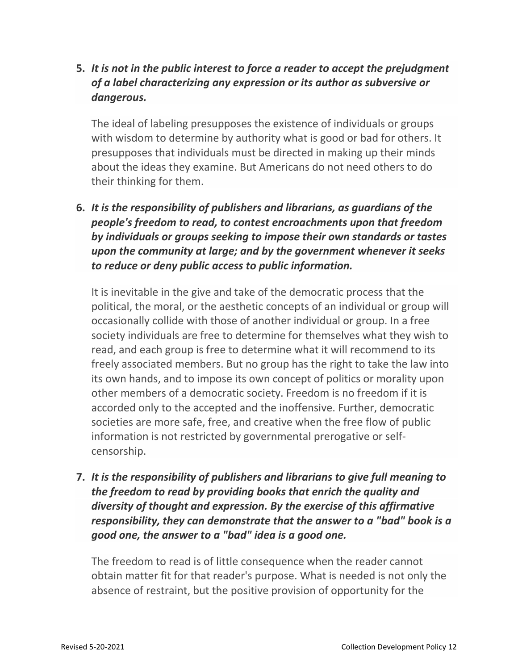**5.** *It is not in the public interest to force a reader to accept the prejudgment of a label characterizing any expression or its author as subversive or dangerous.*

The ideal of labeling presupposes the existence of individuals or groups with wisdom to determine by authority what is good or bad for others. It presupposes that individuals must be directed in making up their minds about the ideas they examine. But Americans do not need others to do their thinking for them.

**6.** *It is the responsibility of publishers and librarians, as guardians of the people's freedom to read, to contest encroachments upon that freedom by individuals or groups seeking to impose their own standards or tastes upon the community at large; and by the government whenever it seeks to reduce or deny public access to public information.*

It is inevitable in the give and take of the democratic process that the political, the moral, or the aesthetic concepts of an individual or group will occasionally collide with those of another individual or group. In a free society individuals are free to determine for themselves what they wish to read, and each group is free to determine what it will recommend to its freely associated members. But no group has the right to take the law into its own hands, and to impose its own concept of politics or morality upon other members of a democratic society. Freedom is no freedom if it is accorded only to the accepted and the inoffensive. Further, democratic societies are more safe, free, and creative when the free flow of public information is not restricted by governmental prerogative or selfcensorship.

**7.** *It is the responsibility of publishers and librarians to give full meaning to the freedom to read by providing books that enrich the quality and diversity of thought and expression. By the exercise of this affirmative responsibility, they can demonstrate that the answer to a "bad" book is a good one, the answer to a "bad" idea is a good one.*

The freedom to read is of little consequence when the reader cannot obtain matter fit for that reader's purpose. What is needed is not only the absence of restraint, but the positive provision of opportunity for the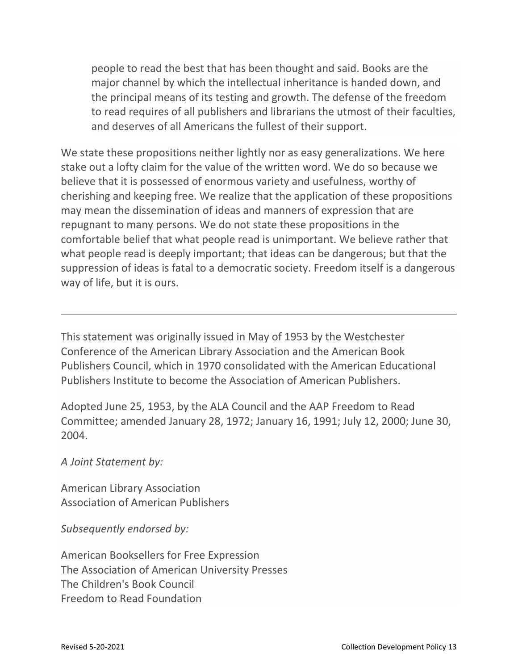people to read the best that has been thought and said. Books are the major channel by which the intellectual inheritance is handed down, and the principal means of its testing and growth. The defense of the freedom to read requires of all publishers and librarians the utmost of their faculties, and deserves of all Americans the fullest of their support.

We state these propositions neither lightly nor as easy generalizations. We here stake out a lofty claim for the value of the written word. We do so because we believe that it is possessed of enormous variety and usefulness, worthy of cherishing and keeping free. We realize that the application of these propositions may mean the dissemination of ideas and manners of expression that are repugnant to many persons. We do not state these propositions in the comfortable belief that what people read is unimportant. We believe rather that what people read is deeply important; that ideas can be dangerous; but that the suppression of ideas is fatal to a democratic society. Freedom itself is a dangerous way of life, but it is ours.

This statement was originally issued in May of 1953 by the Westchester Conference of the American Library Association and the American Book Publishers Council, which in 1970 consolidated with the American Educational Publishers Institute to become the Association of American Publishers.

Adopted June 25, 1953, by the ALA Council and the AAP Freedom to Read Committee; amended January 28, 1972; January 16, 1991; July 12, 2000; June 30, 2004.

*A Joint Statement by:*

American Library Association Association of American Publishers

*Subsequently endorsed by:*

American Booksellers for Free Expression The Association of American University Presses The Children's Book Council Freedom to Read Foundation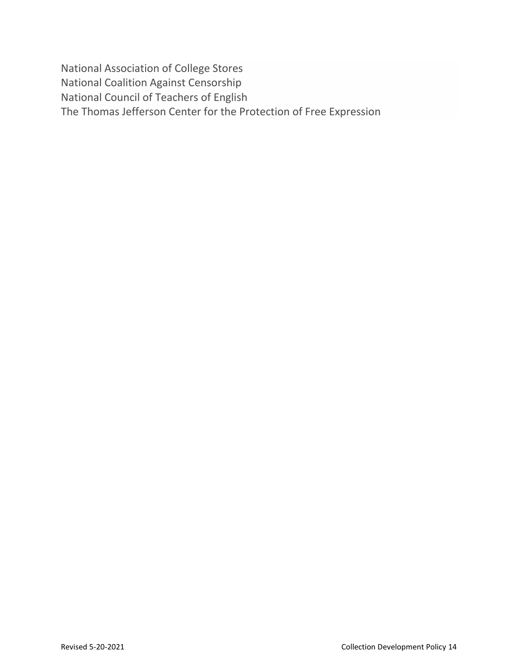National Association of College Stores National Coalition Against Censorship National Council of Teachers of English The Thomas Jefferson Center for the Protection of Free Expression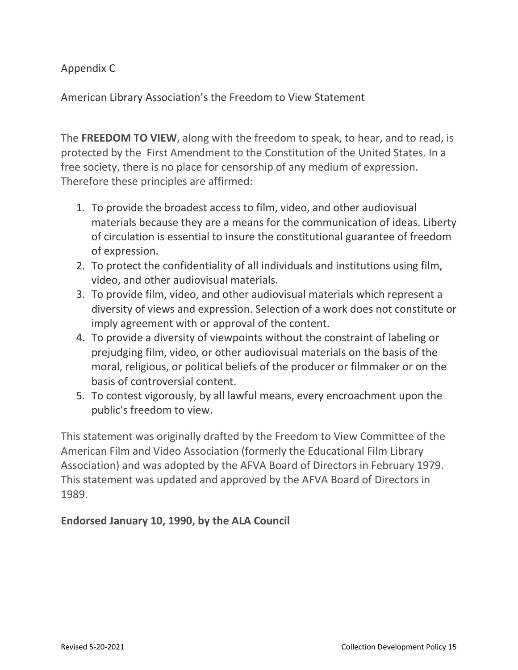### Appendix C

American Library Association's the Freedom to View Statement

The **FREEDOM TO VIEW**, along with the freedom to speak, to hear, and to read, is protected by the First Amendment to the Constitution of the United States. In a free society, there is no place for censorship of any medium of expression. Therefore these principles are affirmed:

- 1. To provide the broadest access to film, video, and other audiovisual materials because they are a means for the communication of ideas. Liberty of circulation is essential to insure the constitutional guarantee of freedom of expression.
- 2. To protect the confidentiality of all individuals and institutions using film, video, and other audiovisual materials.
- 3. To provide film, video, and other audiovisual materials which represent a diversity of views and expression. Selection of a work does not constitute or imply agreement with or approval of the content.
- 4. To provide a diversity of viewpoints without the constraint of labeling or prejudging film, video, or other audiovisual materials on the basis of the moral, religious, or political beliefs of the producer or filmmaker or on the basis of controversial content.
- 5. To contest vigorously, by all lawful means, every encroachment upon the public's freedom to view.

This statement was originally drafted by the Freedom to View Committee of the American Film and Video Association (formerly the Educational Film Library Association) and was adopted by the AFVA Board of Directors in February 1979. This statement was updated and approved by the AFVA Board of Directors in 1989.

### **Endorsed January 10, 1990, by the ALA Council**